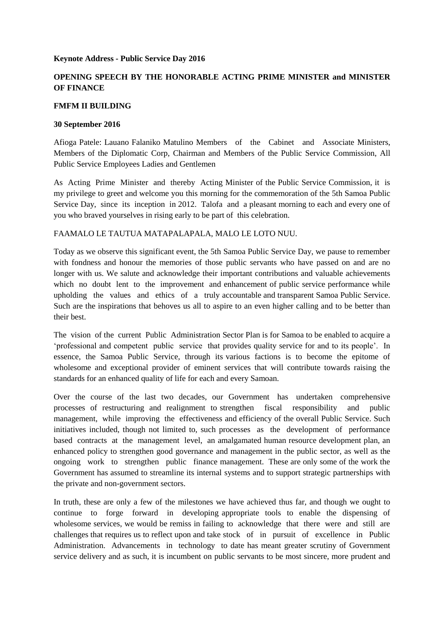### **Keynote Address - Public Service Day 2016**

# **OPENING SPEECH BY THE HONORABLE ACTING PRIME MINISTER and MINISTER OF FINANCE**

## **FMFM II BUILDING**

#### **30 September 2016**

Afioga Patele: Lauano Falaniko Matulino Members of the Cabinet and Associate Ministers, Members of the Diplomatic Corp, Chairman and Members of the Public Service Commission, All Public Service Employees Ladies and Gentlemen

As Acting Prime Minister and thereby Acting Minister of the Public Service Commission, it is my privilege to greet and welcome you this morning for the commemoration of the 5th Samoa Public Service Day, since its inception in 2012. Talofa and a pleasant morning to each and every one of you who braved yourselves in rising early to be part of this celebration.

## FAAMALO LE TAUTUA MATAPALAPALA, MALO LE LOTO NUU.

Today as we observe this significant event, the 5th Samoa Public Service Day, we pause to remember with fondness and honour the memories of those public servants who have passed on and are no longer with us. We salute and acknowledge their important contributions and valuable achievements which no doubt lent to the improvement and enhancement of public service performance while upholding the values and ethics of a truly accountable and transparent Samoa Public Service. Such are the inspirations that behoves us all to aspire to an even higher calling and to be better than their best.

The vision of the current Public Administration Sector Plan is for Samoa to be enabled to acquire a 'professional and competent public service that provides quality service for and to its people'. In essence, the Samoa Public Service, through its various factions is to become the epitome of wholesome and exceptional provider of eminent services that will contribute towards raising the standards for an enhanced quality of life for each and every Samoan.

Over the course of the last two decades, our Government has undertaken comprehensive processes of restructuring and realignment to strengthen fiscal responsibility and public management, while improving the effectiveness and efficiency of the overall Public Service. Such initiatives included, though not limited to, such processes as the development of performance based contracts at the management level, an amalgamated human resource development plan, an enhanced policy to strengthen good governance and management in the public sector, as well as the ongoing work to strengthen public finance management. These are only some of the work the Government has assumed to streamline its internal systems and to support strategic partnerships with the private and non-government sectors.

In truth, these are only a few of the milestones we have achieved thus far, and though we ought to continue to forge forward in developing appropriate tools to enable the dispensing of wholesome services, we would be remiss in failing to acknowledge that there were and still are challenges that requires us to reflect upon and take stock of in pursuit of excellence in Public Administration. Advancements in technology to date has meant greater scrutiny of Government service delivery and as such, it is incumbent on public servants to be most sincere, more prudent and